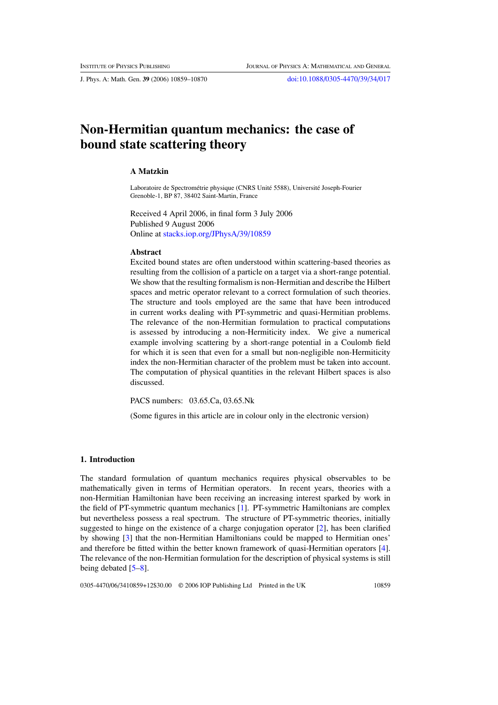J. Phys. A: Math. Gen. **39** (2006) 10859–10870 [doi:10.1088/0305-4470/39/34/017](http://dx.doi.org/10.1088/0305-4470/39/34/017)

# **Non-Hermitian quantum mechanics: the case of bound state scattering theory**

## **A Matzkin**

Laboratoire de Spectrométrie physique (CNRS Unité 5588), Université Joseph-Fourier Grenoble-1, BP 87, 38402 Saint-Martin, France

Received 4 April 2006, in final form 3 July 2006 Published 9 August 2006 Online at [stacks.iop.org/JPhysA/39/10859](http://stacks.iop.org/JPhysA/39/10859)

# **Abstract**

Excited bound states are often understood within scattering-based theories as resulting from the collision of a particle on a target via a short-range potential. We show that the resulting formalism is non-Hermitian and describe the Hilbert spaces and metric operator relevant to a correct formulation of such theories. The structure and tools employed are the same that have been introduced in current works dealing with PT-symmetric and quasi-Hermitian problems. The relevance of the non-Hermitian formulation to practical computations is assessed by introducing a non-Hermiticity index. We give a numerical example involving scattering by a short-range potential in a Coulomb field for which it is seen that even for a small but non-negligible non-Hermiticity index the non-Hermitian character of the problem must be taken into account. The computation of physical quantities in the relevant Hilbert spaces is also discussed.

PACS numbers: 03.65.Ca, 03.65.Nk

(Some figures in this article are in colour only in the electronic version)

#### **1. Introduction**

The standard formulation of quantum mechanics requires physical observables to be mathematically given in terms of Hermitian operators. In recent years, theories with a non-Hermitian Hamiltonian have been receiving an increasing interest sparked by work in the field of PT-symmetric quantum mechanics [\[1\]](#page-10-0). PT-symmetric Hamiltonians are complex but nevertheless possess a real spectrum. The structure of PT-symmetric theories, initially suggested to hinge on the existence of a charge conjugation operator  $[2]$  $[2]$ , has been clarified by showing [\[3\]](#page-10-0) that the non-Hermitian Hamiltonians could be mapped to Hermitian ones' and therefore be fitted within the better known framework of quasi-Hermitian operators [\[4\]](#page-10-0). The relevance of the non-Hermitian formulation for the description of physical systems is still being debated [\[5–8](#page-10-0)].

0305-4470/06/3410859+12\$30.00 © 2006 IOP Publishing Ltd Printed in the UK 10859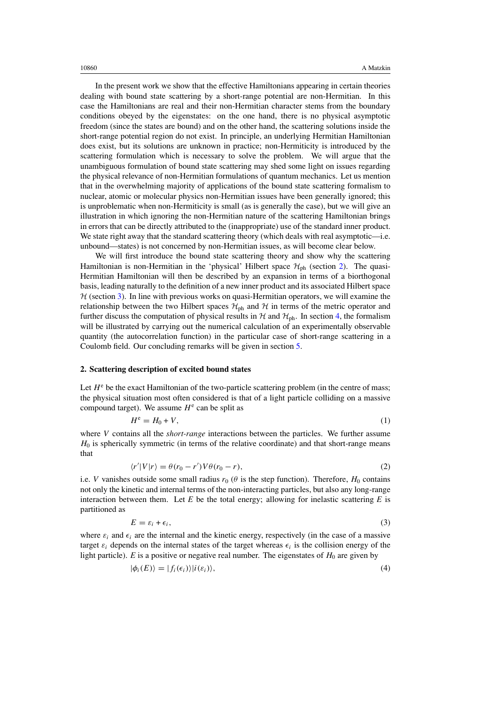<span id="page-1-0"></span>In the present work we show that the effective Hamiltonians appearing in certain theories dealing with bound state scattering by a short-range potential are non-Hermitian. In this case the Hamiltonians are real and their non-Hermitian character stems from the boundary conditions obeyed by the eigenstates: on the one hand, there is no physical asymptotic freedom (since the states are bound) and on the other hand, the scattering solutions inside the short-range potential region do not exist. In principle, an underlying Hermitian Hamiltonian does exist, but its solutions are unknown in practice; non-Hermiticity is introduced by the scattering formulation which is necessary to solve the problem. We will argue that the unambiguous formulation of bound state scattering may shed some light on issues regarding the physical relevance of non-Hermitian formulations of quantum mechanics. Let us mention that in the overwhelming majority of applications of the bound state scattering formalism to nuclear, atomic or molecular physics non-Hermitian issues have been generally ignored; this is unproblematic when non-Hermiticity is small (as is generally the case), but we will give an illustration in which ignoring the non-Hermitian nature of the scattering Hamiltonian brings in errors that can be directly attributed to the (inappropriate) use of the standard inner product. We state right away that the standard scattering theory (which deals with real asymptotic—i.e. unbound—states) is not concerned by non-Hermitian issues, as will become clear below.

We will first introduce the bound state scattering theory and show why the scattering Hamiltonian is non-Hermitian in the 'physical' Hilbert space  $\mathcal{H}_{ph}$  (section 2). The quasi-Hermitian Hamiltonian will then be described by an expansion in terms of a biorthogonal basis, leading naturally to the definition of a new inner product and its associated Hilbert space  $H$  (section [3\)](#page-4-0). In line with previous works on quasi-Hermitian operators, we will examine the relationship between the two Hilbert spaces  $\mathcal{H}_{ph}$  and  $\mathcal{H}$  in terms of the metric operator and further discuss the computation of physical results in  $H$  and  $H_{\text{ph}}$ . In section [4,](#page-6-0) the formalism will be illustrated by carrying out the numerical calculation of an experimentally observable quantity (the autocorrelation function) in the particular case of short-range scattering in a Coulomb field. Our concluding remarks will be given in section [5.](#page-9-0)

### **2. Scattering description of excited bound states**

Let  $H^e$  be the exact Hamiltonian of the two-particle scattering problem (in the centre of mass; the physical situation most often considered is that of a light particle colliding on a massive compound target). We assume  $H^e$  can be split as

$$
H^e = H_0 + V,\tag{1}
$$

where *V* contains all the *short-range* interactions between the particles. We further assume *H*<sub>0</sub> is spherically symmetric (in terms of the relative coordinate) and that short-range means that

$$
\langle r'|V|r\rangle = \theta(r_0 - r')V\theta(r_0 - r),\tag{2}
$$

i.e. *V* vanishes outside some small radius  $r_0$  ( $\theta$  is the step function). Therefore,  $H_0$  contains not only the kinetic and internal terms of the non-interacting particles, but also any long-range interaction between them. Let  $E$  be the total energy; allowing for inelastic scattering  $E$  is partitioned as

$$
E = \varepsilon_i + \epsilon_i,\tag{3}
$$

where  $\varepsilon_i$  and  $\epsilon_i$  are the internal and the kinetic energy, respectively (in the case of a massive target  $\varepsilon_i$  depends on the internal states of the target whereas  $\epsilon_i$  is the collision energy of the light particle).  $E$  is a positive or negative real number. The eigenstates of  $H_0$  are given by

$$
|\phi_i(E)\rangle = |f_i(\epsilon_i)\rangle |i(\epsilon_i)\rangle,\tag{4}
$$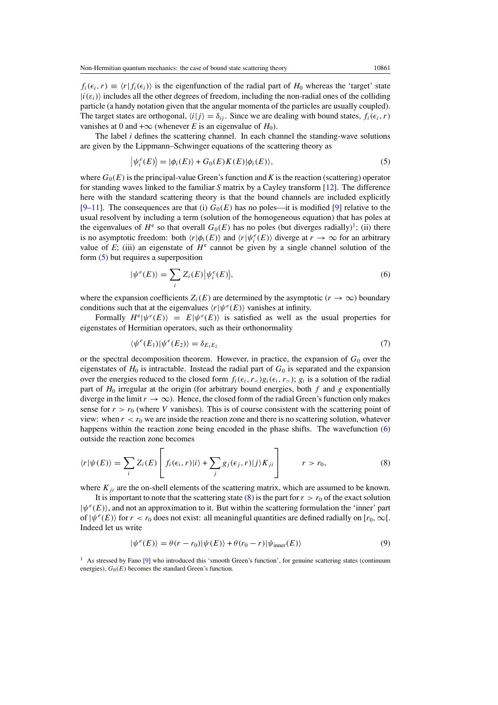<span id="page-2-0"></span> $f_i(\epsilon_i, r) \equiv \langle r | f_i(\epsilon_i) \rangle$  is the eigenfunction of the radial part of  $H_0$  whereas the 'target' state  $|i(\varepsilon_i)\rangle$  includes all the other degrees of freedom, including the non-radial ones of the colliding particle (a handy notation given that the angular momenta of the particles are usually coupled). The target states are orthogonal,  $\langle i|j \rangle = \delta_{ij}$ . Since we are dealing with bound states,  $f_i(\epsilon_i, r)$ vanishes at 0 and + $\infty$  (whenever *E* is an eigenvalue of *H*<sub>0</sub>).

The label *i* defines the scattering channel. In each channel the standing-wave solutions are given by the Lippmann–Schwinger equations of the scattering theory as

$$
\left|\psi_i^e(E)\right\rangle = \left|\phi_i(E)\right\rangle + G_0(E)K(E)|\phi_i(E)\rangle,\tag{5}
$$

where  $G_0(E)$  is the principal-value Green's function and K is the reaction (scattering) operator for standing waves linked to the familiar *S* matrix by a Cayley transform [\[12](#page-11-0)]. The difference here with the standard scattering theory is that the bound channels are included explicitly  $[9-11]$  $[9-11]$ . The consequences are that (i)  $G_0(E)$  has no poles—it is modified [9] relative to the usual resolvent by including a term (solution of the homogeneous equation) that has poles at the eigenvalues of  $H^e$  so that overall  $G_0(E)$  has no poles (but diverges radially)<sup>1</sup>; (ii) there is no asymptotic freedom: both  $\langle r|\phi_i(E)\rangle$  and  $\langle r|\psi_i^e(E)\rangle$  diverge at  $r \to \infty$  for an arbitrary value of  $E$ ; (iii) an eigenstate of  $H^e$  cannot be given by a single channel solution of the form (5) but requires a superposition

$$
|\psi^{e}(E)\rangle = \sum_{i} Z_{i}(E) |\psi^{e}_{i}(E)\rangle, \tag{6}
$$

where the expansion coefficients  $Z_i(E)$  are determined by the asymptotic  $(r \to \infty)$  boundary conditions such that at the eigenvalues  $\langle r | \psi^e(E) \rangle$  vanishes at infinity.

Formally  $H^e|\psi^e(E)\rangle = E|\psi^e(E)\rangle$  is satisfied as well as the usual properties for eigenstates of Hermitian operators, such as their orthonormality

$$
\langle \psi^e(E_1) | \psi^e(E_2) \rangle = \delta_{E_1 E_2} \tag{7}
$$

or the spectral decomposition theorem. However, in practice, the expansion of  $G_0$  over the eigenstates of  $H_0$  is intractable. Instead the radial part of  $G_0$  is separated and the expansion over the energies reduced to the closed form  $f_i(\epsilon_i, r_>)g_i(\epsilon_i, r_>)$ ;  $g_i$  is a solution of the radial part of *H*<sup>0</sup> irregular at the origin (for arbitrary bound energies, both *f* and *g* exponentially diverge in the limit  $r \to \infty$ ). Hence, the closed form of the radial Green's function only makes sense for  $r > r_0$  (where *V* vanishes). This is of course consistent with the scattering point of view: when  $r < r_0$  we are inside the reaction zone and there is no scattering solution, whatever happens within the reaction zone being encoded in the phase shifts. The wavefunction (6) outside the reaction zone becomes

$$
\langle r|\psi(E)\rangle = \sum_{i} Z_i(E) \left[ f_i(\epsilon_i, r)|i\rangle + \sum_{j} g_j(\epsilon_j, r)|j\rangle K_{ji} \right] \qquad r > r_0,
$$
\n(8)

where  $K_{ji}$  are the on-shell elements of the scattering matrix, which are assumed to be known.

It is important to note that the scattering state  $(8)$  is the part for  $r > r_0$  of the exact solution  $|\psi^e(E)\rangle$ , and not an approximation to it. But within the scattering formulation the 'inner' part of  $|\psi^e(E)\rangle$  for  $r < r_0$  does not exist: all meaningful quantities are defined radially on  $[r_0, \infty]$ . Indeed let us write

$$
|\psi^{e}(E)\rangle = \theta(r - r_0)|\psi(E)\rangle + \theta(r_0 - r)|\psi_{\text{inner}}(E)\rangle
$$
\n(9)

<sup>&</sup>lt;sup>1</sup> As stressed by Fano [\[9](#page-10-0)] who introduced this 'smooth Green's function', for genuine scattering states (continuum energies),  $G_0(E)$  becomes the standard Green's function.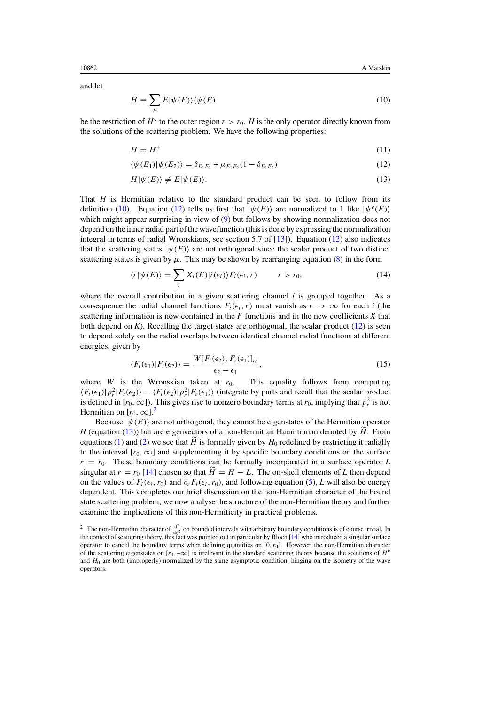and let

$$
H \equiv \sum_{E} E|\psi(E)\rangle\langle\psi(E)| \tag{10}
$$

be the restriction of  $H^e$  to the outer region  $r>r_0$ . *H* is the only operator directly known from the solutions of the scattering problem. We have the following properties:

$$
H = H^+ \tag{11}
$$

$$
\langle \psi(E_1) | \psi(E_2) \rangle = \delta_{E_1 E_2} + \mu_{E_1 E_2} (1 - \delta_{E_1 E_2}) \tag{12}
$$

$$
H|\psi(E)\rangle \neq E|\psi(E)\rangle. \tag{13}
$$

That *H* is Hermitian relative to the standard product can be seen to follow from its definition (10). Equation (12) tells us first that  $|\psi(E)\rangle$  are normalized to 1 like  $|\psi^e(E)\rangle$ which might appear surprising in view of [\(9\)](#page-2-0) but follows by showing normalization does not depend on the inner radial part of the wavefunction (this is done by expressing the normalization integral in terms of radial Wronskians, see section 5.7 of [\[13](#page-11-0)]). Equation (12) also indicates that the scattering states  $|\psi(E)\rangle$  are not orthogonal since the scalar product of two distinct scattering states is given by  $\mu$ . This may be shown by rearranging equation [\(8\)](#page-2-0) in the form

$$
\langle r|\psi(E)\rangle = \sum_{i} X_i(E)|i(\varepsilon_i)\rangle F_i(\varepsilon_i, r) \qquad r > r_0,
$$
\n(14)

where the overall contribution in a given scattering channel  $i$  is grouped together. As a consequence the radial channel functions  $F_i(\epsilon_i, r)$  must vanish as  $r \to \infty$  for each *i* (the scattering information is now contained in the *F* functions and in the new coefficients *X* that both depend on  $K$ ). Recalling the target states are orthogonal, the scalar product  $(12)$  is seen to depend solely on the radial overlaps between identical channel radial functions at different energies, given by

$$
\langle F_i(\epsilon_1) | F_i(\epsilon_2) \rangle = \frac{W[F_i(\epsilon_2), F_i(\epsilon_1)]_{r_0}}{\epsilon_2 - \epsilon_1},\tag{15}
$$

where *W* is the Wronskian taken at  $r_0$ . This equality follows from computing  $\langle F_i(\epsilon_1)|p_r^2|F_i(\epsilon_2)\rangle - \langle F_i(\epsilon_2)|p_r^2|F_i(\epsilon_1)\rangle$  (integrate by parts and recall that the scalar product is defined in  $[r_0, \infty]$ ). This gives rise to nonzero boundary terms at  $r_0$ , implying that  $p_r^2$  is not Hermitian on  $[r_0, \infty]$ .<sup>2</sup>

Because  $|\psi(E)\rangle$  are not orthogonal, they cannot be eigenstates of the Hermitian operator *H* (equation (13)) but are eigenvectors of a non-Hermitian Hamiltonian denoted by *H*. From equations [\(1\)](#page-1-0) and [\(2\)](#page-1-0) we see that  $\hat{H}$  is formally given by  $H_0$  redefined by restricting it radially to the interval  $[r_0, \infty]$  and supplementing it by specific boundary conditions on the surface  $r = r_0$ . These boundary conditions can be formally incorporated in a surface operator *L* singular at  $r = r_0$  [\[14](#page-11-0)] chosen so that  $\tilde{H} = H - L$ . The on-shell elements of L then depend on the values of  $F_i(\epsilon_i, r_0)$  and  $\partial_r F_i(\epsilon_i, r_0)$ , and following equation [\(5\)](#page-2-0), *L* will also be energy dependent. This completes our brief discussion on the non-Hermitian character of the bound state scattering problem; we now analyse the structure of the non-Hermitian theory and further examine the implications of this non-Hermiticity in practical problems.

<span id="page-3-0"></span>

<sup>&</sup>lt;sup>2</sup> The non-Hermitian character of  $\frac{d^2}{dx^2}$  on bounded intervals with arbitrary boundary conditions is of course trivial. In the context of scattering theory, this fact was pointed out in particular by Bloch [\[14\]](#page-11-0) who introduced a singular surface operator to cancel the boundary terms when defining quantities on [0*, r*0]. However, the non-Hermitian character of the scattering eigenstates on  $[r_0, +\infty]$  is irrelevant in the standard scattering theory because the solutions of  $H^e$ and *H*<sub>0</sub> are both (improperly) normalized by the same asymptotic condition, hinging on the isometry of the wave operators.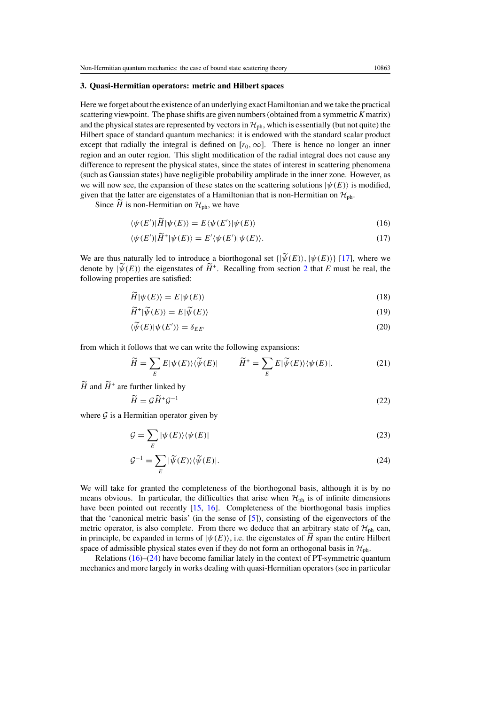#### <span id="page-4-0"></span>**3. Quasi-Hermitian operators: metric and Hilbert spaces**

Here we forget about the existence of an underlying exact Hamiltonian and we take the practical scattering viewpoint. The phase shifts are given numbers (obtained from a symmetric*K* matrix) and the physical states are represented by vectors in  $H_{ph}$ , which is essentially (but not quite) the Hilbert space of standard quantum mechanics: it is endowed with the standard scalar product except that radially the integral is defined on  $[r_0, \infty]$ . There is hence no longer an inner region and an outer region. This slight modification of the radial integral does not cause any difference to represent the physical states, since the states of interest in scattering phenomena (such as Gaussian states) have negligible probability amplitude in the inner zone. However, as we will now see, the expansion of these states on the scattering solutions  $|\psi(E)\rangle$  is modified, given that the latter are eigenstates of a Hamiltonian that is non-Hermitian on  $\mathcal{H}_{ph}$ .

Since  $\widetilde{H}$  is non-Hermitian on  $\mathcal{H}_{ph}$ , we have

$$
\langle \psi(E')|\widetilde{H}|\psi(E)\rangle = E\langle \psi(E')|\psi(E)\rangle
$$
\n(16)

$$
\langle \psi(E') | \widetilde{H}^+ | \psi(E) \rangle = E' \langle \psi(E') | \psi(E) \rangle. \tag{17}
$$

We are thus naturally led to introduce a biorthogonal set  $\{|\widetilde{\psi}(E)\rangle, |\psi(E)\rangle\}$  [\[17](#page-11-0)], where we denote by  $|\widetilde{\psi}(E)\rangle$  the eigenstates of  $\widetilde{H}^+$ . Recalling from section [2](#page-1-0) that *E* must be real, the following properties are satisfied:

$$
\tilde{H}|\psi(E)\rangle = E|\psi(E)\rangle\tag{18}
$$

$$
\widetilde{H}^+|\widetilde{\psi}(E)\rangle = E|\widetilde{\psi}(E)\rangle\tag{19}
$$

$$
\langle \widetilde{\psi}(E) | \psi(E') \rangle = \delta_{EE'} \tag{20}
$$

from which it follows that we can write the following expansions:

$$
\widetilde{H} = \sum_{E} E|\psi(E)\rangle\langle\widetilde{\psi}(E)| \qquad \widetilde{H}^+ = \sum_{E} E|\widetilde{\psi}(E)\rangle\langle\psi(E)|. \tag{21}
$$

 $\widetilde{H}$  and  $\widetilde{H}^+$  are further linked by

$$
\widetilde{H} = \mathcal{G}\widetilde{H}^+\mathcal{G}^{-1} \tag{22}
$$

where  $G$  is a Hermitian operator given by

$$
\mathcal{G} = \sum_{E} |\psi(E)\rangle\langle\psi(E)| \tag{23}
$$

$$
\mathcal{G}^{-1} = \sum_{E} |\widetilde{\psi}(E)\rangle \langle \widetilde{\psi}(E)|. \tag{24}
$$

We will take for granted the completeness of the biorthogonal basis, although it is by no means obvious. In particular, the difficulties that arise when  $\mathcal{H}_{ph}$  is of infinite dimensions have been pointed out recently [\[15,](#page-11-0) [16](#page-11-0)]. Completeness of the biorthogonal basis implies that the 'canonical metric basis' (in the sense of [\[5](#page-10-0)]), consisting of the eigenvectors of the metric operator, is also complete. From there we deduce that an arbitrary state of  $\mathcal{H}_{\text{oh}}$  can, in principle, be expanded in terms of  $|\psi(E)\rangle$ , i.e. the eigenstates of  $\widetilde{H}$  span the entire Hilbert space of admissible physical states even if they do not form an orthogonal basis in  $\mathcal{H}_{ph}$ .

Relations (16)–(24) have become familiar lately in the context of PT-symmetric quantum mechanics and more largely in works dealing with quasi-Hermitian operators (see in particular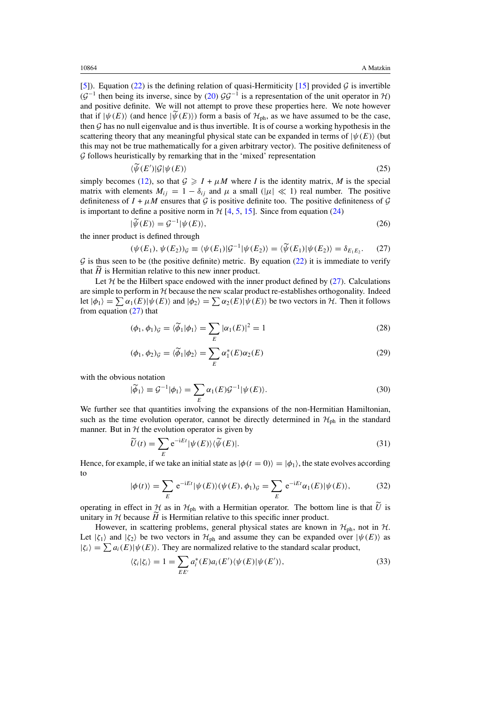<span id="page-5-0"></span>[\[5](#page-10-0)]). Equation [\(22\)](#page-4-0) is the defining relation of quasi-Hermiticity [\[15](#page-11-0)] provided  $\mathcal G$  is invertible  $(\mathcal{G}^{-1})$  then being its inverse, since by [\(20\)](#page-4-0)  $\mathcal{G}\mathcal{G}^{-1}$  is a representation of the unit operator in H) and positive definite. We will not attempt to prove these properties here. We note however that if  $|\psi(E)\rangle$  (and hence  $|\widetilde{\psi}(E)\rangle$ ) form a basis of  $\mathcal{H}_{\text{ph}}$ , as we have assumed to be the case, then  $G$  has no null eigenvalue and is thus invertible. It is of course a working hypothesis in the scattering theory that any meaningful physical state can be expanded in terms of  $|\psi(E)\rangle$  (but this may not be true mathematically for a given arbitrary vector). The positive definiteness of  $G$  follows heuristically by remarking that in the 'mixed' representation

$$
\langle \widetilde{\psi}(E')|\mathcal{G}|\psi(E)\rangle\tag{25}
$$

simply becomes [\(12\)](#page-3-0), so that  $G \geq I + \mu M$  where *I* is the identity matrix, *M* is the special matrix with elements  $M_{ij} = 1 - \delta_{ij}$  and  $\mu$  a small ( $|\mu| \ll 1$ ) real number. The positive definiteness of  $I + \mu M$  ensures that G is positive definite too. The positive definiteness of G is important to define a positive norm in  $H$  [\[4,](#page-10-0) [5,](#page-10-0) [15\]](#page-11-0). Since from equation [\(24\)](#page-4-0)

$$
|\widetilde{\psi}(E)\rangle = \mathcal{G}^{-1}|\psi(E)\rangle,\tag{26}
$$

the inner product is defined through

$$
(\psi(E_1), \psi(E_2))_{\mathcal{G}} \equiv \langle \psi(E_1)|\mathcal{G}^{-1}|\psi(E_2)\rangle = \langle \widetilde{\psi}(E_1)|\psi(E_2)\rangle = \delta_{E_1E_2}.\tag{27}
$$

 $G$  is thus seen to be (the positive definite) metric. By equation [\(22\)](#page-4-0) it is immediate to verify that  $\widetilde{H}$  is Hermitian relative to this new inner product.

Let  $H$  be the Hilbert space endowed with the inner product defined by (27). Calculations are simple to perform in  $H$  because the new scalar product re-establishes orthogonality. Indeed let  $|\phi_1\rangle = \sum \alpha_1(E) |\psi(E)\rangle$  and  $|\phi_2\rangle = \sum \alpha_2(E) |\psi(E)\rangle$  be two vectors in H. Then it follows from equation (27) that

$$
(\phi_1, \phi_1)_{\mathcal{G}} = \langle \widetilde{\phi}_1 | \phi_1 \rangle = \sum_E |\alpha_1(E)|^2 = 1 \tag{28}
$$

$$
(\phi_1, \phi_2)_{\mathcal{G}} = \langle \widetilde{\phi}_1 | \phi_2 \rangle = \sum_E \alpha_1^*(E) \alpha_2(E) \tag{29}
$$

with the obvious notation

$$
|\tilde{\phi}_1\rangle \equiv \mathcal{G}^{-1}|\phi_1\rangle = \sum_E \alpha_1(E)\mathcal{G}^{-1}|\psi(E)\rangle.
$$
 (30)

We further see that quantities involving the expansions of the non-Hermitian Hamiltonian, such as the time evolution operator, cannot be directly determined in  $\mathcal{H}_{ph}$  in the standard manner. But in  $H$  the evolution operator is given by

$$
\widetilde{U}(t) = \sum_{E} e^{-iEt} |\psi(E)\rangle \langle \widetilde{\psi}(E)|. \tag{31}
$$

Hence, for example, if we take an initial state as  $|\phi(t=0)\rangle = |\phi_1\rangle$ , the state evolves according to

$$
|\phi(t)\rangle = \sum_{E} e^{-iEt} |\psi(E)\rangle (\psi(E), \phi_1)_{\mathcal{G}} = \sum_{E} e^{-iEt} \alpha_1(E) |\psi(E)\rangle, \tag{32}
$$

operating in effect in  $\mathcal{H}$  as in  $\mathcal{H}_{ph}$  with a Hermitian operator. The bottom line is that *U* is unitary in  $H$  because  $\widetilde{H}$  is Hermitian relative to this specific inner product.

However, in scattering problems, general physical states are known in  $H_{ph}$ , not in  $H$ . Let  $|\zeta_1\rangle$  and  $|\zeta_2\rangle$  be two vectors in  $\mathcal{H}_{ph}$  and assume they can be expanded over  $|\psi(E)\rangle$  as  $|\zeta_i\rangle = \sum a_i(E) |\psi(E)\rangle$ . They are normalized relative to the standard scalar product,

$$
\langle \zeta_i | \zeta_i \rangle = 1 = \sum_{E E'} a_i^*(E) a_i(E') \langle \psi(E) | \psi(E') \rangle,
$$
\n(33)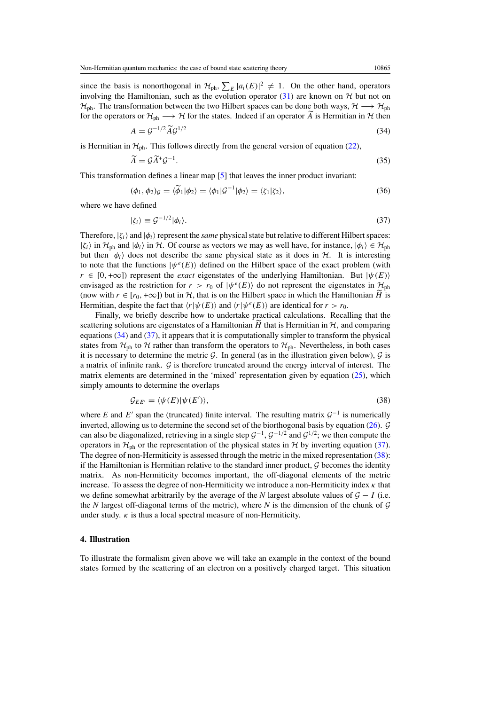<span id="page-6-0"></span>since the basis is nonorthogonal in  $\mathcal{H}_{ph}$ ,  $\sum_{E} |a_i(E)|^2 \neq 1$ . On the other hand, operators involving the Hamiltonian, such as the evolution operator [\(31\)](#page-5-0) are known on  $H$  but not on  $H_{\text{ph}}$ . The transformation between the two Hilbert spaces can be done both ways,  $H \longrightarrow H_{\text{ph}}$ for the operators or  $\mathcal{H}_{ph} \longrightarrow \mathcal{H}$  for the states. Indeed if an operator  $\tilde{A}$  is Hermitian in  $\mathcal{H}$  then

$$
A = \mathcal{G}^{-1/2} \widetilde{A} \mathcal{G}^{1/2} \tag{34}
$$

is Hermitian in  $\mathcal{H}_{ph}$ . This follows directly from the general version of equation [\(22\)](#page-4-0),

$$
\widetilde{A} = \mathcal{G}\widetilde{A}^+\mathcal{G}^{-1}.\tag{35}
$$

This transformation defines a linear map [\[5](#page-10-0)] that leaves the inner product invariant:

$$
(\phi_1, \phi_2)_{\mathcal{G}} = \langle \widetilde{\phi}_1 | \phi_2 \rangle = \langle \phi_1 | \mathcal{G}^{-1} | \phi_2 \rangle = \langle \zeta_1 | \zeta_2 \rangle,\tag{36}
$$

where we have defined

$$
|\zeta_i\rangle \equiv \mathcal{G}^{-1/2}|\phi_i\rangle. \tag{37}
$$

Therefore,  $|\zeta_i\rangle$  and  $|\phi_i\rangle$  represent the *same* physical state but relative to different Hilbert spaces:  $|\zeta_i\rangle$  in  $\mathcal{H}_{ph}$  and  $|\phi_i\rangle$  in  $\mathcal{H}_{ch}$ . Of course as vectors we may as well have, for instance,  $|\phi_i\rangle \in \mathcal{H}_{ph}$ but then  $|\phi_i\rangle$  does not describe the same physical state as it does in  $H$ . It is interesting to note that the functions  $|\psi^e(E)\rangle$  defined on the Hilbert space of the exact problem (with  $r \in [0, +\infty]$ ) represent the *exact* eigenstates of the underlying Hamiltonian. But  $|\psi(E)\rangle$ envisaged as the restriction for  $r > r_0$  of  $|\psi^e(E)\rangle$  do not represent the eigenstates in  $\mathcal{H}_{ph}$ (now with  $r \in [r_0, +\infty]$ ) but in H, that is on the Hilbert space in which the Hamiltonian H is Hermitian, despite the fact that  $\langle r|\psi(E)\rangle$  and  $\langle r|\psi^e(E)\rangle$  are identical for  $r>r_0$ .

Finally, we briefly describe how to undertake practical calculations. Recalling that the scattering solutions are eigenstates of a Hamiltonian  $\hat{H}$  that is Hermitian in  $\mathcal{H}$ , and comparing equations  $(34)$  and  $(37)$ , it appears that it is computationally simpler to transform the physical states from  $H_{ph}$  to H rather than transform the operators to  $H_{ph}$ . Nevertheless, in both cases it is necessary to determine the metric  $G$ . In general (as in the illustration given below),  $G$  is a matrix of infinite rank. G is therefore truncated around the energy interval of interest. The matrix elements are determined in the 'mixed' representation given by equation [\(25\)](#page-5-0), which simply amounts to determine the overlaps

$$
\mathcal{G}_{EE'} = \langle \psi(E) | \psi(E') \rangle, \tag{38}
$$

where *E* and *E*' span the (truncated) finite interval. The resulting matrix  $G^{-1}$  is numerically inverted, allowing us to determine the second set of the biorthogonal basis by equation [\(26\)](#page-5-0). G can also be diagonalized, retrieving in a single step  $G^{-1}$ ,  $G^{-1/2}$  and  $G^{1/2}$ ; we then compute the operators in  $\mathcal{H}_{ph}$  or the representation of the physical states in H by inverting equation (37). The degree of non-Hermiticity is assessed through the metric in the mixed representation (38): if the Hamiltonian is Hermitian relative to the standard inner product,  $\mathcal G$  becomes the identity matrix. As non-Hermiticity becomes important, the off-diagonal elements of the metric increase. To assess the degree of non-Hermiticity we introduce a non-Hermiticity index *κ* that we define somewhat arbitrarily by the average of the *N* largest absolute values of  $G - I$  (i.e. the *N* largest off-diagonal terms of the metric), where *N* is the dimension of the chunk of  $G$ under study.  $\kappa$  is thus a local spectral measure of non-Hermiticity.

### **4. Illustration**

To illustrate the formalism given above we will take an example in the context of the bound states formed by the scattering of an electron on a positively charged target. This situation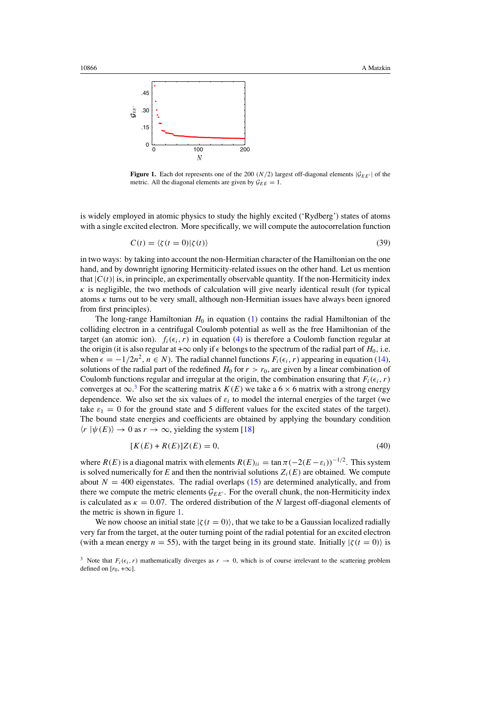<span id="page-7-0"></span>

**Figure 1.** Each dot represents one of the 200  $(N/2)$  largest off-diagonal elements  $|\mathcal{G}_{EE'}|$  of the metric. All the diagonal elements are given by  $\mathcal{G}_{EE} = 1$ .

is widely employed in atomic physics to study the highly excited ('Rydberg') states of atoms with a single excited electron. More specifically, we will compute the autocorrelation function

$$
C(t) = \langle \zeta(t=0) | \zeta(t) \rangle \tag{39}
$$

in two ways: by taking into account the non-Hermitian character of the Hamiltonian on the one hand, and by downright ignoring Hermiticity-related issues on the other hand. Let us mention that  $|C(t)|$  is, in principle, an experimentally observable quantity. If the non-Hermiticity index  $\kappa$  is negligible, the two methods of calculation will give nearly identical result (for typical atoms *κ* turns out to be very small, although non-Hermitian issues have always been ignored from first principles).

The long-range Hamiltonian  $H_0$  in equation  $(1)$  contains the radial Hamiltonian of the colliding electron in a centrifugal Coulomb potential as well as the free Hamiltonian of the target (an atomic ion).  $f_i(\epsilon_i, r)$  in equation [\(4\)](#page-1-0) is therefore a Coulomb function regular at the origin (it is also regular at + $\infty$  only if  $\epsilon$  belongs to the spectrum of the radial part of  $H_0$ , i.e. when  $\epsilon = -1/2n^2$ ,  $n \in N$ ). The radial channel functions  $F_i(\epsilon_i, r)$  appearing in equation [\(14\)](#page-3-0), solutions of the radial part of the redefined  $H_0$  for  $r > r_0$ , are given by a linear combination of Coulomb functions regular and irregular at the origin, the combination ensuring that  $F_i(\epsilon_i, r)$ converges at  $\infty$ .<sup>3</sup> For the scattering matrix *K(E)* we take a 6 × 6 matrix with a strong energy dependence. We also set the six values of  $\varepsilon_i$  to model the internal energies of the target (we take  $\varepsilon_1 = 0$  for the ground state and 5 different values for the excited states of the target). The bound state energies and coefficients are obtained by applying the boundary condition  $\langle r | \psi(E) \rangle \rightarrow 0$  as  $r \rightarrow \infty$ , yielding the system [\[18\]](#page-11-0)

$$
[K(E) + R(E)]Z(E) = 0,
$$
\n(40)

where  $R(E)$  is a diagonal matrix with elements  $R(E)_{ii} = \tan \pi (-2(E - \varepsilon_i))^{-1/2}$ . This system is solved numerically for  $E$  and then the nontrivial solutions  $Z_i(E)$  are obtained. We compute about  $N = 400$  eigenstates. The radial overlaps [\(15\)](#page-3-0) are determined analytically, and from there we compute the metric elements  $\mathcal{G}_{EE'}$ . For the overall chunk, the non-Hermiticity index is calculated as  $\kappa = 0.07$ . The ordered distribution of the *N* largest off-diagonal elements of the metric is shown in figure 1.

We now choose an initial state  $|\zeta(t=0)\rangle$ , that we take to be a Gaussian localized radially very far from the target, at the outer turning point of the radial potential for an excited electron (with a mean energy  $n = 55$ ), with the target being in its ground state. Initially  $\frac{\zeta(t=0)}{\zeta(t=0)}$  is

<sup>&</sup>lt;sup>3</sup> Note that  $F_i(\epsilon_i, r)$  mathematically diverges as  $r \to 0$ , which is of course irrelevant to the scattering problem defined on  $[r_0, +\infty]$ .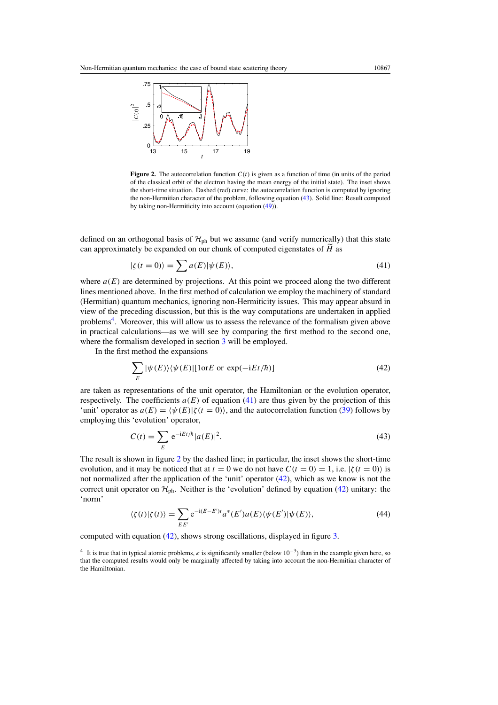<span id="page-8-0"></span>

**Figure 2.** The autocorrelation function  $C(t)$  is given as a function of time (in units of the period of the classical orbit of the electron having the mean energy of the initial state). The inset shows the short-time situation. Dashed (red) curve: the autocorrelation function is computed by ignoring the non-Hermitian character of the problem, following equation (43). Solid line: Result computed by taking non-Hermiticity into account (equation [\(49\)](#page-9-0)).

defined on an orthogonal basis of  $H_{ph}$  but we assume (and verify numerically) that this state can approximately be expanded on our chunk of computed eigenstates of *H* as

$$
|\zeta(t=0)\rangle = \sum a(E)|\psi(E)\rangle,\tag{41}
$$

where  $a(E)$  are determined by projections. At this point we proceed along the two different lines mentioned above. In the first method of calculation we employ the machinery of standard (Hermitian) quantum mechanics, ignoring non-Hermiticity issues. This may appear absurd in view of the preceding discussion, but this is the way computations are undertaken in applied problems4. Moreover, this will allow us to assess the relevance of the formalism given above in practical calculations—as we will see by comparing the first method to the second one, where the formalism developed in section [3](#page-4-0) will be employed.

In the first method the expansions

$$
\sum_{E} |\psi(E)\rangle\langle\psi(E)| [\text{for } E \text{ or } \exp(-\text{i}Et/\hbar)] \tag{42}
$$

are taken as representations of the unit operator, the Hamiltonian or the evolution operator, respectively. The coefficients  $a(E)$  of equation (41) are thus given by the projection of this 'unit' operator as  $a(E) = \langle \psi(E) | \zeta(t=0) \rangle$ , and the autocorrelation function [\(39\)](#page-7-0) follows by employing this 'evolution' operator,

$$
C(t) = \sum_{E} e^{-iEt/\hbar} |a(E)|^2.
$$
 (43)

The result is shown in figure 2 by the dashed line; in particular, the inset shows the short-time evolution, and it may be noticed that at  $t = 0$  we do not have  $C(t = 0) = 1$ , i.e.  $|\zeta(t = 0)\rangle$  is not normalized after the application of the 'unit' operator  $(42)$ , which as we know is not the correct unit operator on  $\mathcal{H}_{ph}$ . Neither is the 'evolution' defined by equation (42) unitary: the 'norm'

$$
\langle \zeta(t) | \zeta(t) \rangle = \sum_{E E'} e^{-i(E - E')t} a^*(E') a(E) \langle \psi(E') | \psi(E) \rangle, \tag{44}
$$

computed with equation (42), shows strong oscillations, displayed in figure [3.](#page-9-0)

<sup>4</sup> It is true that in typical atomic problems, *κ* is significantly smaller (below 10<sup>−</sup>3) than in the example given here, so that the computed results would only be marginally affected by taking into account the non-Hermitian character of the Hamiltonian.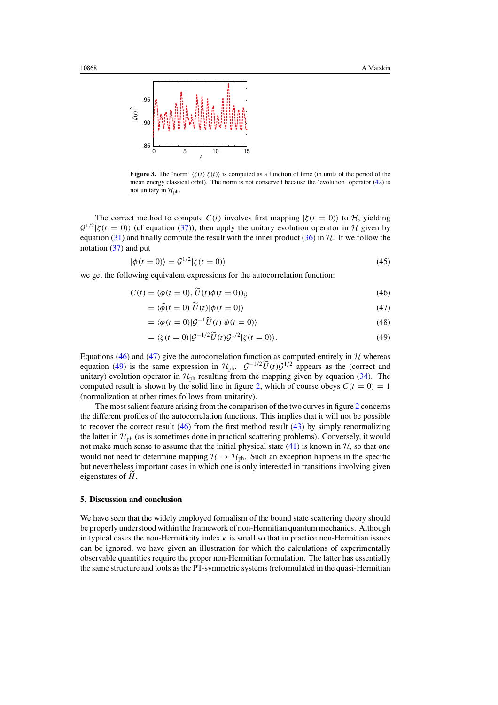<span id="page-9-0"></span>

**Figure 3.** The 'norm'  $\langle \zeta(t) | \zeta(t) \rangle$  is computed as a function of time (in units of the period of the mean energy classical orbit). The norm is not conserved because the 'evolution' operator [\(42\)](#page-8-0) is not unitary in  $\mathcal{H}_{\text{ph}}$ .

The correct method to compute  $C(t)$  involves first mapping  $|\zeta(t = 0)\rangle$  to H, yielding  $\mathcal{G}^{1/2}|\zeta(t=0)\rangle$  (cf equation [\(37\)](#page-6-0)), then apply the unitary evolution operator in H given by equation [\(31\)](#page-5-0) and finally compute the result with the inner product [\(36\)](#page-6-0) in  $H$ . If we follow the notation [\(37\)](#page-6-0) and put

$$
|\phi(t=0)\rangle = \mathcal{G}^{1/2}|\zeta(t=0)\rangle
$$
\n(45)

we get the following equivalent expressions for the autocorrelation function:

$$
C(t) = (\phi(t=0), \widetilde{U}(t)\phi(t=0))_{\mathcal{G}}
$$
\n
$$
(46)
$$

$$
= \langle \tilde{\phi}(t=0) | \tilde{U}(t) | \phi(t=0) \rangle \tag{47}
$$

$$
= \langle \phi(t=0) | \mathcal{G}^{-1} \widetilde{U}(t) | \phi(t=0) \rangle \tag{48}
$$

$$
= \langle \zeta(t=0) | \mathcal{G}^{-1/2} \widetilde{U}(t) \mathcal{G}^{1/2} | \zeta(t=0) \rangle. \tag{49}
$$

Equations (46) and (47) give the autocorrelation function as computed entirely in  $H$  whereas equation (49) is the same expression in  $H_{ph}$ .  $G^{-1/2}\tilde{U}(t)G^{1/2}$  appears as the (correct and unitary) evolution operator in  $\mathcal{H}_{ph}$  resulting from the mapping given by equation [\(34\)](#page-6-0). The computed result is shown by the solid line in figure [2,](#page-8-0) which of course obeys  $C(t = 0) = 1$ (normalization at other times follows from unitarity).

The most salient feature arising from the comparison of the two curves in figure [2](#page-8-0) concerns the different profiles of the autocorrelation functions. This implies that it will not be possible to recover the correct result (46) from the first method result [\(43\)](#page-8-0) by simply renormalizing the latter in  $H_{\text{ph}}$  (as is sometimes done in practical scattering problems). Conversely, it would not make much sense to assume that the initial physical state  $(41)$  is known in  $H$ , so that one would not need to determine mapping  $H \rightarrow H_{ph}$ . Such an exception happens in the specific but nevertheless important cases in which one is only interested in transitions involving given eigenstates of *H*.

#### **5. Discussion and conclusion**

We have seen that the widely employed formalism of the bound state scattering theory should be properly understood within the framework of non-Hermitian quantum mechanics. Although in typical cases the non-Hermiticity index *κ* is small so that in practice non-Hermitian issues can be ignored, we have given an illustration for which the calculations of experimentally observable quantities require the proper non-Hermitian formulation. The latter has essentially the same structure and tools as the PT-symmetric systems (reformulated in the quasi-Hermitian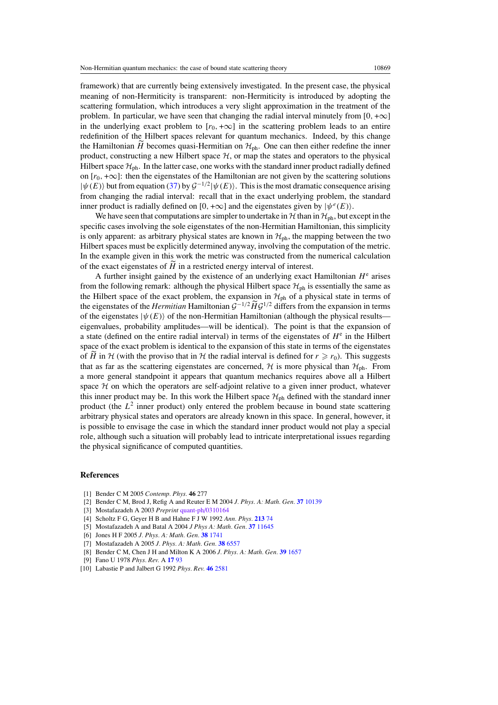<span id="page-10-0"></span>framework) that are currently being extensively investigated. In the present case, the physical meaning of non-Hermiticity is transparent: non-Hermiticity is introduced by adopting the scattering formulation, which introduces a very slight approximation in the treatment of the problem. In particular, we have seen that changing the radial interval minutely from  $[0, +\infty]$ in the underlying exact problem to  $[r_0, +\infty]$  in the scattering problem leads to an entire redefinition of the Hilbert spaces relevant for quantum mechanics. Indeed, by this change the Hamiltonian  $\tilde{H}$  becomes quasi-Hermitian on  $\mathcal{H}_{ph}$ . One can then either redefine the inner product, constructing a new Hilbert space  $H$ , or map the states and operators to the physical Hilbert space  $\mathcal{H}_{\text{ph}}$ . In the latter case, one works with the standard inner product radially defined on  $[r_0, +\infty]$ : then the eigenstates of the Hamiltonian are not given by the scattering solutions  $|\psi(E)\rangle$  but from equation [\(37\)](#page-6-0) by  $\mathcal{G}^{-1/2}|\psi(E)\rangle$ . This is the most dramatic consequence arising from changing the radial interval: recall that in the exact underlying problem, the standard inner product is radially defined on  $[0, +\infty]$  and the eigenstates given by  $|\psi^e(E)\rangle$ .

We have seen that computations are simpler to undertake in H than in  $H_{\text{ph}}$ , but except in the specific cases involving the sole eigenstates of the non-Hermitian Hamiltonian, this simplicity is only apparent: as arbitrary physical states are known in  $\mathcal{H}_{\text{ph}}$ , the mapping between the two Hilbert spaces must be explicitly determined anyway, involving the computation of the metric. In the example given in this work the metric was constructed from the numerical calculation of the exact eigenstates of *H* in a restricted energy interval of interest.

A further insight gained by the existence of an underlying exact Hamiltonian *H*<sup>e</sup> arises from the following remark: although the physical Hilbert space  $\mathcal{H}_{ph}$  is essentially the same as the Hilbert space of the exact problem, the expansion in  $\mathcal{H}_{ph}$  of a physical state in terms of the eigenstates of the *Hermitian* Hamiltonian  $G^{-1/2} \tilde{H} G^{1/2}$  differs from the expansion in terms of the eigenstates  $|\psi(E)\rangle$  of the non-Hermitian Hamiltonian (although the physical results eigenvalues, probability amplitudes—will be identical). The point is that the expansion of a state (defined on the entire radial interval) in terms of the eigenstates of  $H<sup>e</sup>$  in the Hilbert space of the exact problem is identical to the expansion of this state in terms of the eigenstates of *H* in  $H$  (with the proviso that in  $H$  the radial interval is defined for  $r \ge r_0$ ). This suggests that as far as the scattering eigenstates are concerned,  $H$  is more physical than  $H_{\text{ph}}$ . From a more general standpoint it appears that quantum mechanics requires above all a Hilbert space  $H$  on which the operators are self-adjoint relative to a given inner product, whatever this inner product may be. In this work the Hilbert space  $\mathcal{H}_{ph}$  defined with the standard inner product (the  $L^2$  inner product) only entered the problem because in bound state scattering arbitrary physical states and operators are already known in this space. In general, however, it is possible to envisage the case in which the standard inner product would not play a special role, although such a situation will probably lead to intricate interpretational issues regarding the physical significance of computed quantities.

## **References**

- [1] Bender C M 2005 *Contemp. Phys.* **46** 277
- [2] Bender C M, Brod J, Refig A and Reuter E M 2004 *J. Phys. A: Math. Gen.* **37** [10139](http://dx.doi.org/10.1088/0305-4470/37/43/009)
- [3] Mostafazadeh A 2003 *Preprint* [quant-ph/0310164](http://www.arxiv.org/abs/quant-ph/0310164)
- [4] Scholtz F G, Geyer H B and Hahne F J W 1992 *Ann. Phys.* **[213](http://dx.doi.org/10.1016/0003-4916(92)90284-S)** 74
- [5] Mostafazadeh A and Batal A 2004 *J Phys A: Math. Gen.* **37** [11645](http://dx.doi.org/10.1088/0305-4470/37/48/009)
- [6] Jones H F 2005 *J. Phys. A: Math. Gen.* **38** [1741](http://dx.doi.org/10.1088/0305-4470/38/8/010)
- [7] Mostafazadeh A 2005 *J. Phys. A: Math. Gen.* **38** [6557](http://dx.doi.org/10.1088/0305-4470/38/29/010)
- [8] Bender C M, Chen J H and Milton K A 2006 *J. Phys. A: Math. Gen.* **39** [1657](http://dx.doi.org/10.1088/0305-4470/39/7/010)
- [9] Fano U 1978 *Phys. Rev.* A **[17](http://dx.doi.org/10.1103/PhysRevA.17.93)** 93
- [10] Labastie P and Jalbert G 1992 *Phys. Rev.* **46** [2581](http://dx.doi.org/10.1103/PhysRevA.46.2581)